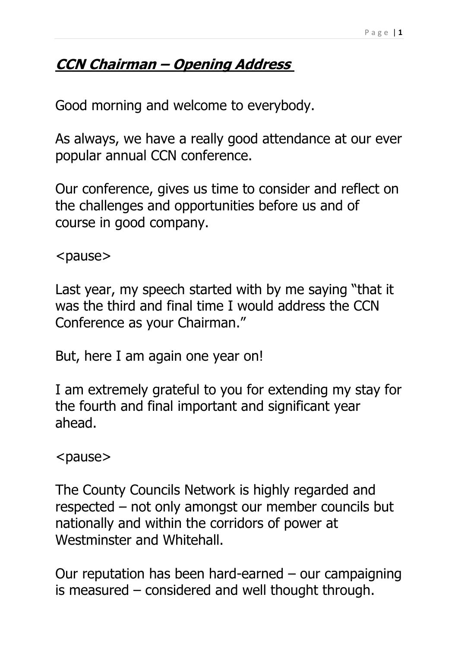## **CCN Chairman – Opening Address**

Good morning and welcome to everybody.

As always, we have a really good attendance at our ever popular annual CCN conference.

Our conference, gives us time to consider and reflect on the challenges and opportunities before us and of course in good company.

<pause>

Last year, my speech started with by me saying "that it was the third and final time I would address the CCN Conference as your Chairman."

But, here I am again one year on!

I am extremely grateful to you for extending my stay for the fourth and final important and significant year ahead.

<pause>

The County Councils Network is highly regarded and respected – not only amongst our member councils but nationally and within the corridors of power at Westminster and Whitehall.

Our reputation has been hard-earned  $-$  our campaigning is measured – considered and well thought through.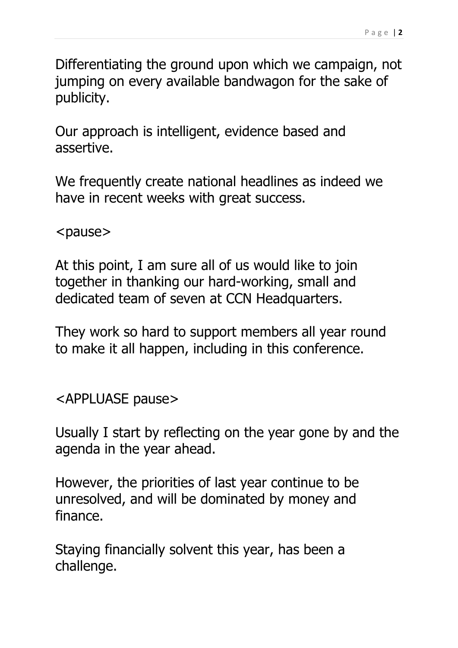Differentiating the ground upon which we campaign, not jumping on every available bandwagon for the sake of publicity.

Our approach is intelligent, evidence based and assertive.

We frequently create national headlines as indeed we have in recent weeks with great success.

<pause>

At this point, I am sure all of us would like to join together in thanking our hard-working, small and dedicated team of seven at CCN Headquarters.

They work so hard to support members all year round to make it all happen, including in this conference.

<APPLUASE pause>

Usually I start by reflecting on the year gone by and the agenda in the year ahead.

However, the priorities of last year continue to be unresolved, and will be dominated by money and finance.

Staying financially solvent this year, has been a challenge.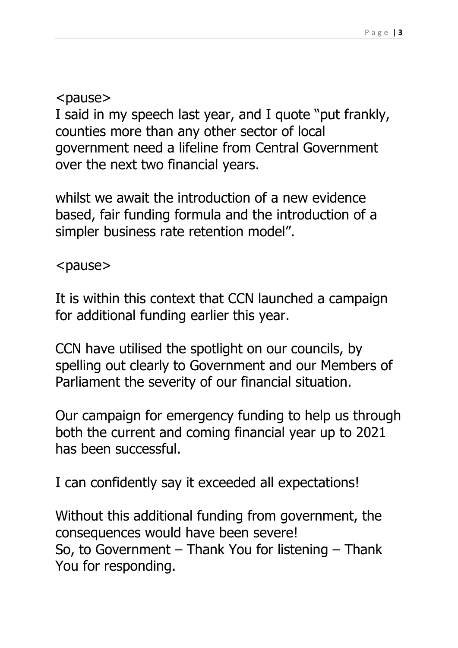<pause>

I said in my speech last year, and I quote "put frankly, counties more than any other sector of local government need a lifeline from Central Government over the next two financial years.

whilst we await the introduction of a new evidence based, fair funding formula and the introduction of a simpler business rate retention model".

<pause>

It is within this context that CCN launched a campaign for additional funding earlier this year.

CCN have utilised the spotlight on our councils, by spelling out clearly to Government and our Members of Parliament the severity of our financial situation.

Our campaign for emergency funding to help us through both the current and coming financial year up to 2021 has been successful.

I can confidently say it exceeded all expectations!

Without this additional funding from government, the consequences would have been severe! So, to Government – Thank You for listening – Thank You for responding.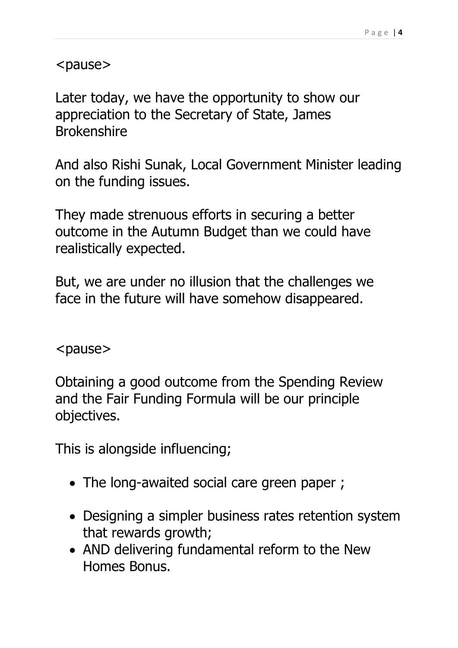<pause>

Later today, we have the opportunity to show our appreciation to the Secretary of State, James Brokenshire

And also Rishi Sunak, Local Government Minister leading on the funding issues.

They made strenuous efforts in securing a better outcome in the Autumn Budget than we could have realistically expected.

But, we are under no illusion that the challenges we face in the future will have somehow disappeared.

<pause>

Obtaining a good outcome from the Spending Review and the Fair Funding Formula will be our principle objectives.

This is alongside influencing;

- The long-awaited social care green paper ;
- Designing a simpler business rates retention system that rewards growth;
- AND delivering fundamental reform to the New Homes Bonus.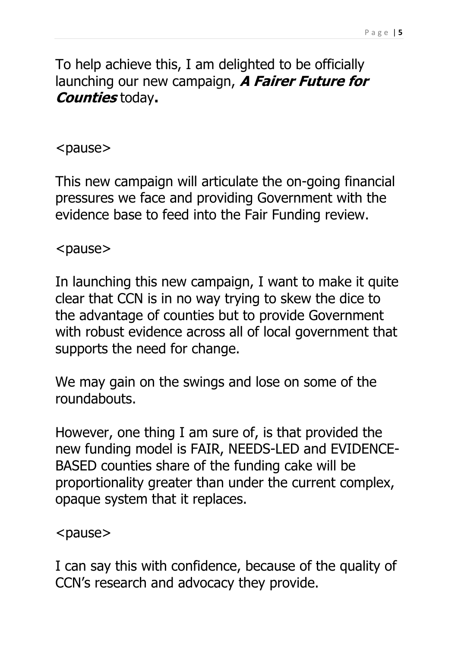To help achieve this, I am delighted to be officially launching our new campaign, **A Fairer Future for Counties** today**.**

## <pause>

This new campaign will articulate the on-going financial pressures we face and providing Government with the evidence base to feed into the Fair Funding review.

<pause>

In launching this new campaign, I want to make it quite clear that CCN is in no way trying to skew the dice to the advantage of counties but to provide Government with robust evidence across all of local government that supports the need for change.

We may gain on the swings and lose on some of the roundabouts.

However, one thing I am sure of, is that provided the new funding model is FAIR, NEEDS-LED and EVIDENCE-BASED counties share of the funding cake will be proportionality greater than under the current complex, opaque system that it replaces.

<pause>

I can say this with confidence, because of the quality of CCN's research and advocacy they provide.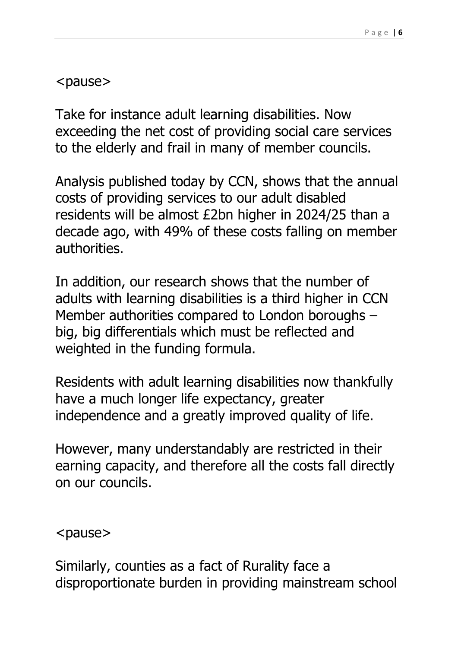<pause>

Take for instance adult learning disabilities. Now exceeding the net cost of providing social care services to the elderly and frail in many of member councils.

Analysis published today by CCN, shows that the annual costs of providing services to our adult disabled residents will be almost £2bn higher in 2024/25 than a decade ago, with 49% of these costs falling on member authorities.

In addition, our research shows that the number of adults with learning disabilities is a third higher in CCN Member authorities compared to London boroughs – big, big differentials which must be reflected and weighted in the funding formula.

Residents with adult learning disabilities now thankfully have a much longer life expectancy, greater independence and a greatly improved quality of life.

However, many understandably are restricted in their earning capacity, and therefore all the costs fall directly on our councils.

<pause>

Similarly, counties as a fact of Rurality face a disproportionate burden in providing mainstream school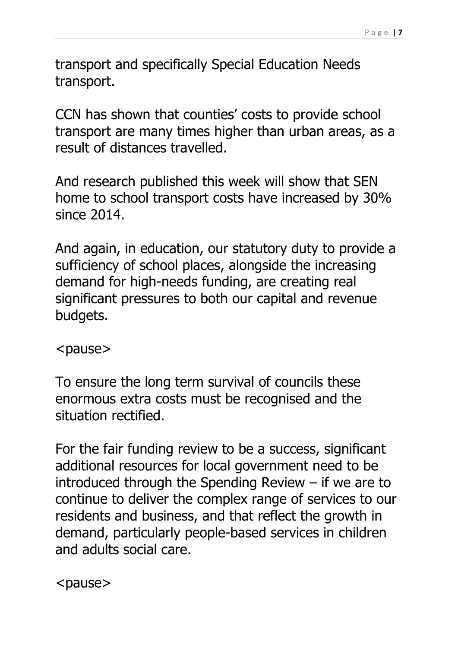transport and specifically Special Education Needs transport.

CCN has shown that counties' costs to provide school transport are many times higher than urban areas, as a result of distances travelled.

And research published this week will show that SEN home to school transport costs have increased by 30% since 2014.

And again, in education, our statutory duty to provide a sufficiency of school places, alongside the increasing demand for high-needs funding, are creating real significant pressures to both our capital and revenue budgets.

<pause>

To ensure the long term survival of councils these enormous extra costs must be recognised and the situation rectified.

For the fair funding review to be a success, significant additional resources for local government need to be introduced through the Spending Review – if we are to continue to deliver the complex range of services to our residents and business, and that reflect the growth in demand, particularly people-based services in children and adults social care.

<pause>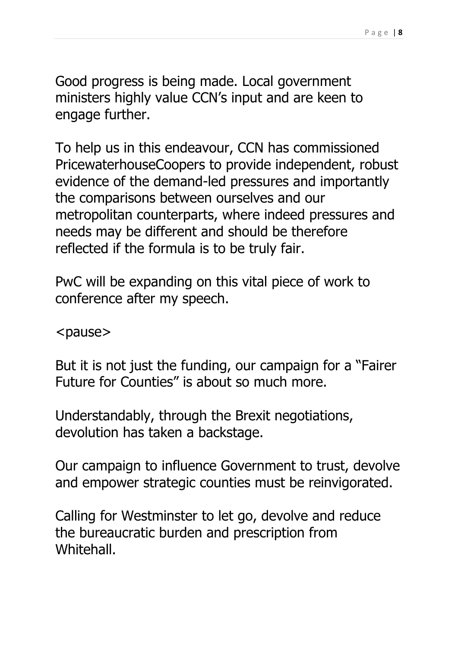Good progress is being made. Local government ministers highly value CCN's input and are keen to engage further.

To help us in this endeavour, CCN has commissioned PricewaterhouseCoopers to provide independent, robust evidence of the demand-led pressures and importantly the comparisons between ourselves and our metropolitan counterparts, where indeed pressures and needs may be different and should be therefore reflected if the formula is to be truly fair.

PwC will be expanding on this vital piece of work to conference after my speech.

<pause>

But it is not just the funding, our campaign for a "Fairer Future for Counties" is about so much more.

Understandably, through the Brexit negotiations, devolution has taken a backstage.

Our campaign to influence Government to trust, devolve and empower strategic counties must be reinvigorated.

Calling for Westminster to let go, devolve and reduce the bureaucratic burden and prescription from Whitehall.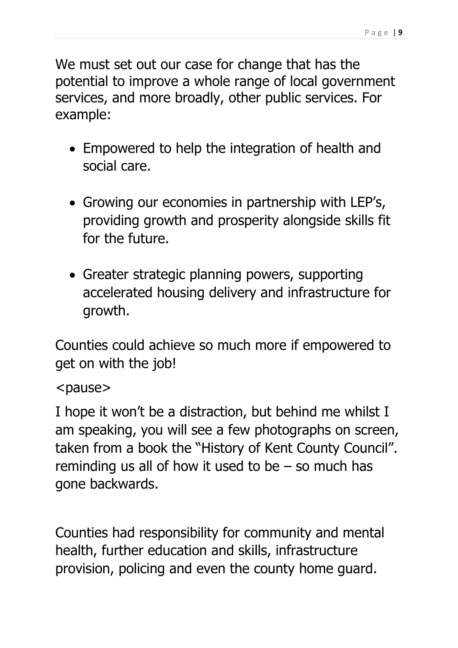We must set out our case for change that has the potential to improve a whole range of local government services, and more broadly, other public services. For example:

- Empowered to help the integration of health and social care.
- Growing our economies in partnership with LEP's, providing growth and prosperity alongside skills fit for the future.
- Greater strategic planning powers, supporting accelerated housing delivery and infrastructure for growth.

Counties could achieve so much more if empowered to get on with the job!

## <pause>

I hope it won't be a distraction, but behind me whilst I am speaking, you will see a few photographs on screen, taken from a book the "History of Kent County Council". reminding us all of how it used to be  $-$  so much has gone backwards.

Counties had responsibility for community and mental health, further education and skills, infrastructure provision, policing and even the county home guard.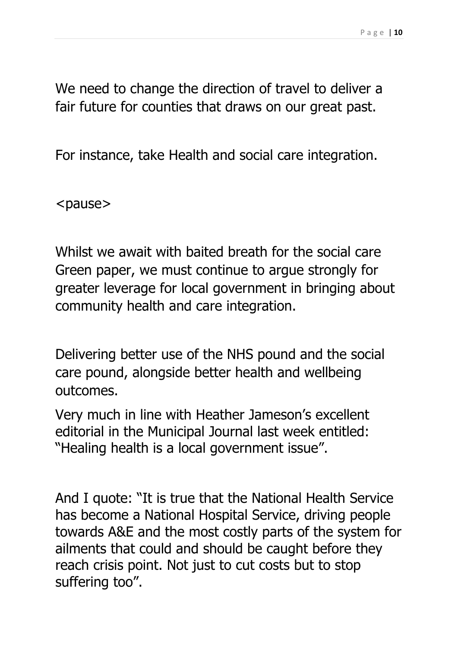We need to change the direction of travel to deliver a fair future for counties that draws on our great past.

For instance, take Health and social care integration.

<pause>

Whilst we await with baited breath for the social care Green paper, we must continue to argue strongly for greater leverage for local government in bringing about community health and care integration.

Delivering better use of the NHS pound and the social care pound, alongside better health and wellbeing outcomes.

Very much in line with Heather Jameson's excellent editorial in the Municipal Journal last week entitled: "Healing health is a local government issue".

And I quote: "It is true that the National Health Service has become a National Hospital Service, driving people towards A&E and the most costly parts of the system for ailments that could and should be caught before they reach crisis point. Not just to cut costs but to stop suffering too".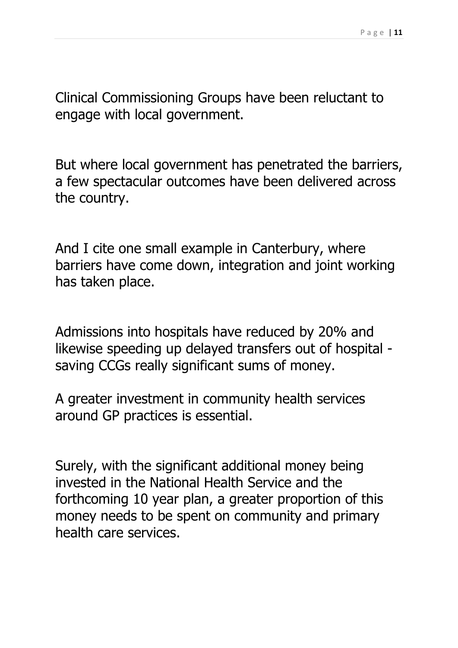Clinical Commissioning Groups have been reluctant to engage with local government.

But where local government has penetrated the barriers, a few spectacular outcomes have been delivered across the country.

And I cite one small example in Canterbury, where barriers have come down, integration and joint working has taken place.

Admissions into hospitals have reduced by 20% and likewise speeding up delayed transfers out of hospital saving CCGs really significant sums of money.

A greater investment in community health services around GP practices is essential.

Surely, with the significant additional money being invested in the National Health Service and the forthcoming 10 year plan, a greater proportion of this money needs to be spent on community and primary health care services.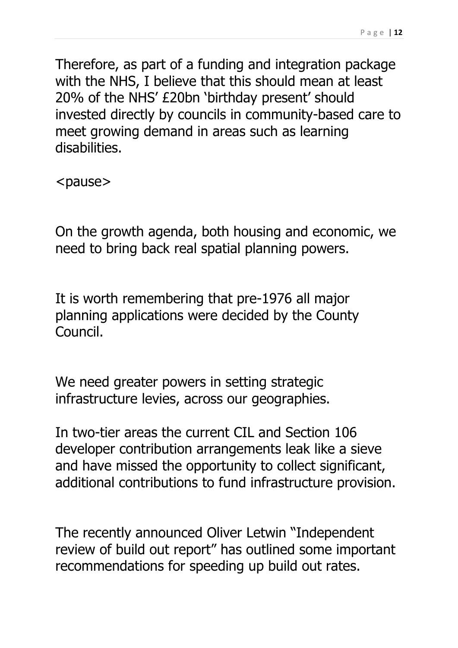Therefore, as part of a funding and integration package with the NHS, I believe that this should mean at least 20% of the NHS' £20bn 'birthday present' should invested directly by councils in community-based care to meet growing demand in areas such as learning disabilities.

<pause>

On the growth agenda, both housing and economic, we need to bring back real spatial planning powers.

It is worth remembering that pre-1976 all major planning applications were decided by the County Council.

We need greater powers in setting strategic infrastructure levies, across our geographies.

In two-tier areas the current CIL and Section 106 developer contribution arrangements leak like a sieve and have missed the opportunity to collect significant, additional contributions to fund infrastructure provision.

The recently announced Oliver Letwin "Independent review of build out report" has outlined some important recommendations for speeding up build out rates.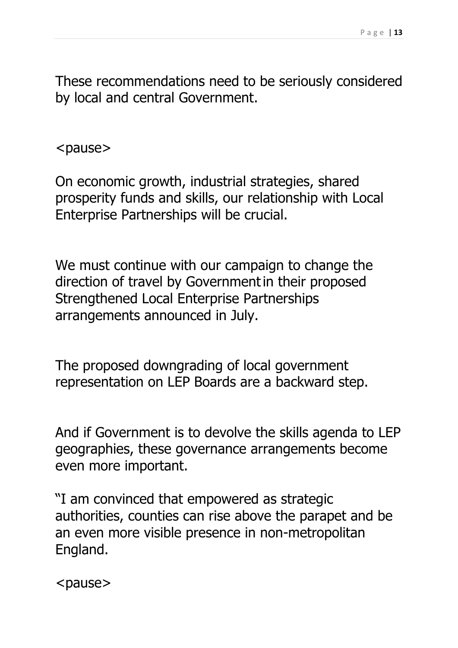These recommendations need to be seriously considered by local and central Government.

<pause>

On economic growth, industrial strategies, shared prosperity funds and skills, our relationship with Local Enterprise Partnerships will be crucial.

We must continue with our campaign to change the direction of travel by Governmentin their proposed Strengthened Local Enterprise Partnerships arrangements announced in July.

The proposed downgrading of local government representation on LEP Boards are a backward step.

And if Government is to devolve the skills agenda to LEP geographies, these governance arrangements become even more important.

"I am convinced that empowered as strategic authorities, counties can rise above the parapet and be an even more visible presence in non-metropolitan England.

<pause>